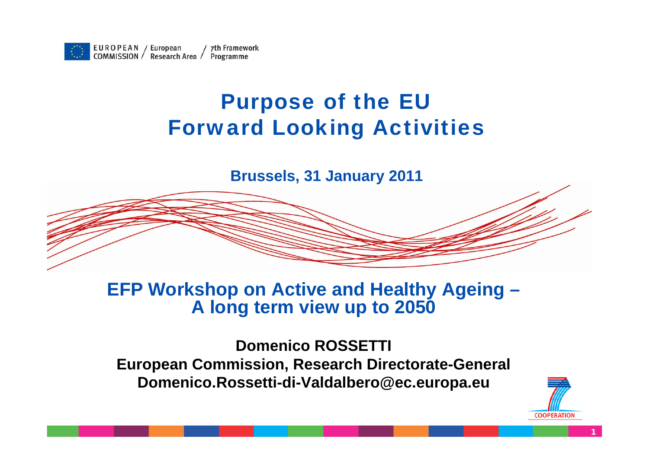

#### Purpose of the EU Forward Looking Activities

**Brussels, 31 January 2011**

#### **EFP Workshop on Active and Healthy Ageing – A long term view up to 2050**

**Domenico ROSSETTI European Commission, Research Directorate-General Domenico.Rossetti-di-Valdalbero@ec.europa.eu**



**1**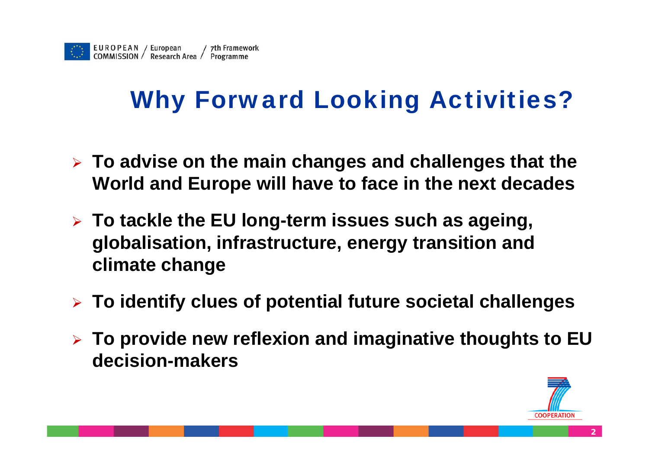# Why Forward Looking Activities?

- ¾ **To advise on the main changes and challenges that the World and Europe will have to face in the next decades**
- ¾ **To tackle the EU long-term issues such as ageing, globalisation, infrastructure, energy transition and climate change**
- ¾ **To identify clues of potential future societal challenges**
- ¾ **To provide new reflexion and imaginative thoughts to EU decision-makers**

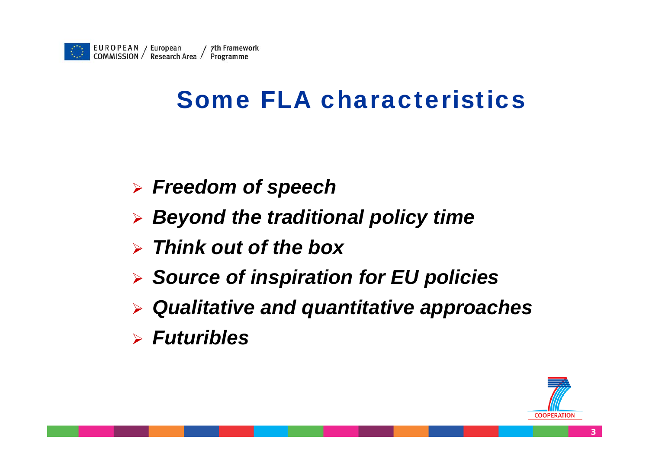

### Some FLA characteristics

- ¾ *Freedom of speech*
- ¾ *Beyond the traditional policy time*
- ¾ *Think out of the box*
- ¾ *Source of inspiration for EU policies*
- ¾ *Qualitative and quantitative approaches*
- ¾ *Futuribles*

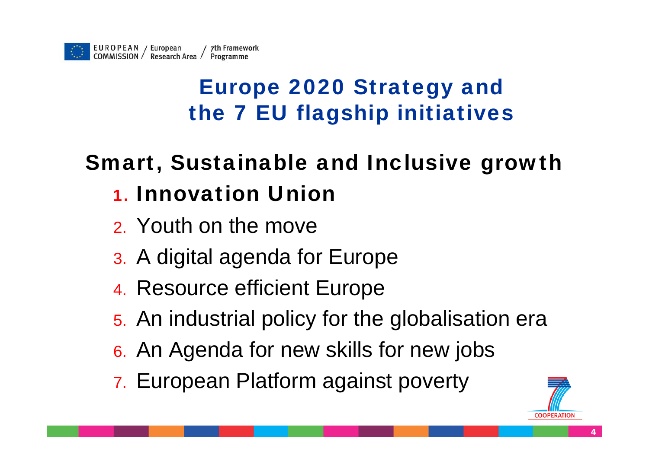#### Europe 2020 Strategy and the 7 EU flagship initiatives

### Smart, Sustainable and Inclusive growth

#### 1. Innovation Union

- 2. Youth on the move
- 3. A digital agenda for Europe
- 4. Resource efficient Europe
- 5. An industrial policy for the globalisation era
- 6. An Agenda for new skills for new jobs
- 7. European Platform against poverty

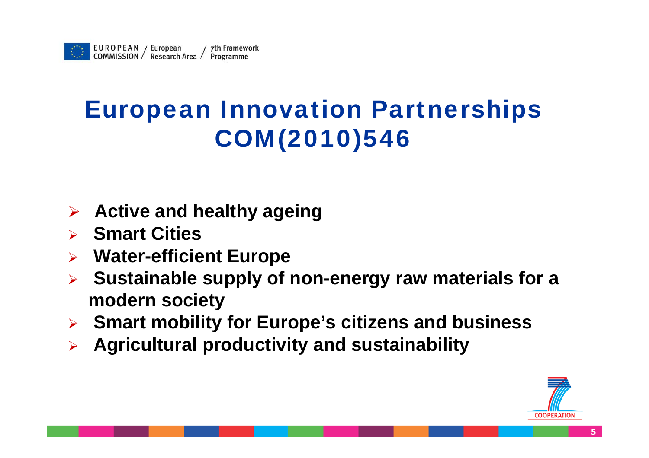## European Innovation Partnerships COM(2010)546

- ¾**Active and healthy ageing**
- ¾ **Smart Cities**
- $\blacktriangleright$ **Water-efficient Europe**
- $\blacktriangleright$  **Sustainable supply of non-energy raw materials for a modern society**
- ¾**Smart mobility for Europe's citizens and business**
- ¾**Agricultural productivity and sustainability**

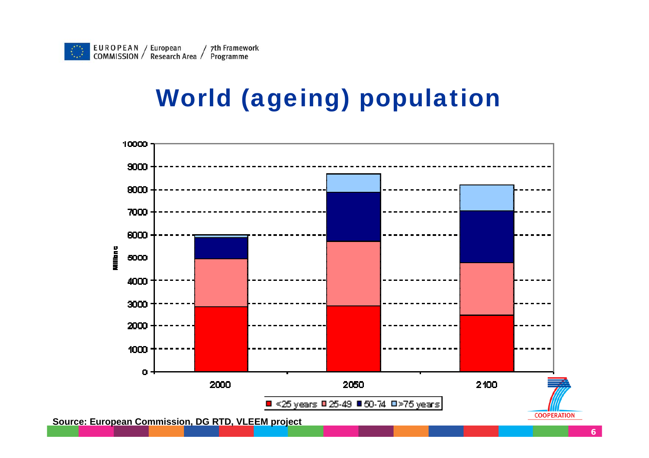## World (ageing) population